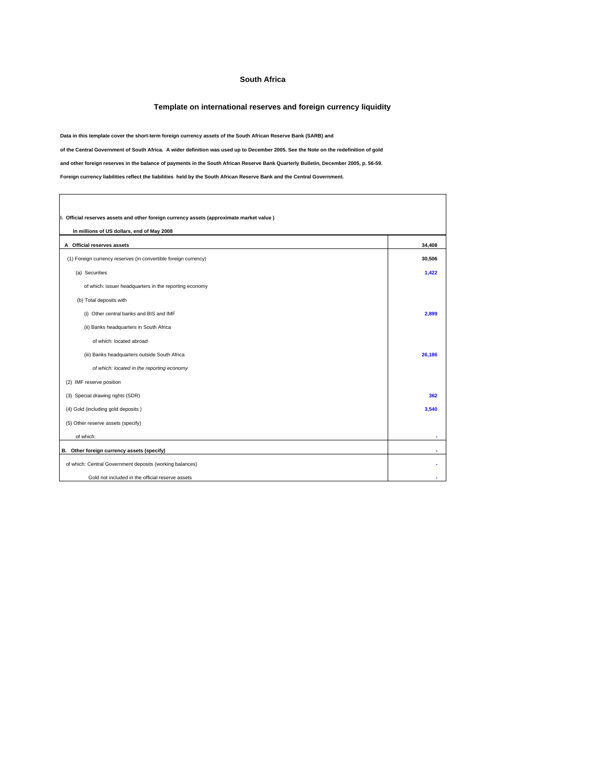## **South Africa**

## **Template on international reserves and foreign currency liquidity**

**Data in this template cover the short-term foreign currency assets of the South African Reserve Bank (SARB) and**

**of the Central Government of South Africa. A wider definition was used up to December 2005. See the Note on the redefinition of gold**

**and other foreign reserves in the balance of payments in the South African Reserve Bank Quarterly Bulletin, December 2005, p. 56-59.**

**Foreign currency liabilities reflect the liabilities held by the South African Reserve Bank and the Central Government.**

 $\Gamma$ 

| I. Official reserves assets and other foreign currency assets (approximate market value)<br>In millions of US dollars, end of May 2008 |        |  |  |
|----------------------------------------------------------------------------------------------------------------------------------------|--------|--|--|
| A Official reserves assets                                                                                                             | 34,408 |  |  |
| (1) Foreign currency reserves (in convertible foreign currency)                                                                        | 30,506 |  |  |
| (a) Securities                                                                                                                         | 1,422  |  |  |
| of which: issuer headquarters in the reporting economy                                                                                 |        |  |  |
| (b) Total deposits with                                                                                                                |        |  |  |
| (i) Other central banks and BIS and IMF                                                                                                | 2,899  |  |  |
| (ii) Banks headquarters in South Africa                                                                                                |        |  |  |
| of which: located abroad                                                                                                               |        |  |  |
| (iii) Banks headquarters outside South Africa                                                                                          | 26,186 |  |  |
| of which: located in the reporting economy                                                                                             |        |  |  |
| (2) IMF reserve position                                                                                                               |        |  |  |
| (3) Special drawing rights (SDR)                                                                                                       | 362    |  |  |
| (4) Gold (including gold deposits)                                                                                                     | 3,540  |  |  |
| (5) Other reserve assets (specify)                                                                                                     |        |  |  |
| of which:                                                                                                                              |        |  |  |
| B. Other foreign currency assets (specify)                                                                                             |        |  |  |
| of which: Central Government deposits (working balances)                                                                               |        |  |  |
| Gold not included in the official reserve assets                                                                                       |        |  |  |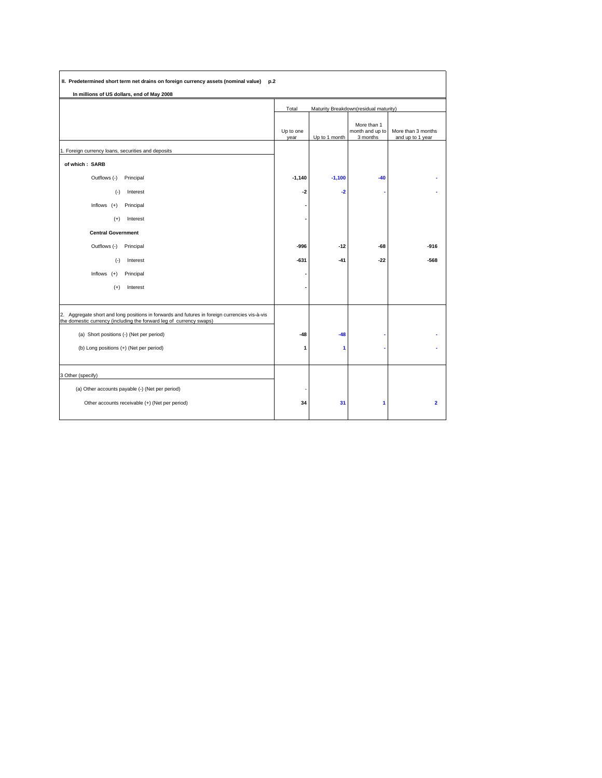| II. Predetermined short term net drains on foreign currency assets (nominal value)<br>p.2                                                                            |                   |                                       |                                            |                                        |
|----------------------------------------------------------------------------------------------------------------------------------------------------------------------|-------------------|---------------------------------------|--------------------------------------------|----------------------------------------|
| In millions of US dollars, end of May 2008                                                                                                                           |                   |                                       |                                            |                                        |
|                                                                                                                                                                      | Total             | Maturity Breakdown(residual maturity) |                                            |                                        |
|                                                                                                                                                                      | Up to one<br>year | Up to 1 month                         | More than 1<br>month and up to<br>3 months | More than 3 months<br>and up to 1 year |
| 1. Foreign currency loans, securities and deposits                                                                                                                   |                   |                                       |                                            |                                        |
| of which: SARB                                                                                                                                                       |                   |                                       |                                            |                                        |
| Outflows (-)<br>Principal                                                                                                                                            | $-1,140$          | $-1,100$                              | $-40$                                      |                                        |
| Interest<br>$(-)$                                                                                                                                                    | -2                | $-2$                                  |                                            |                                        |
| Inflows $(+)$<br>Principal                                                                                                                                           |                   |                                       |                                            |                                        |
| Interest<br>$(+)$                                                                                                                                                    |                   |                                       |                                            |                                        |
| <b>Central Government</b>                                                                                                                                            |                   |                                       |                                            |                                        |
| Outflows (-)<br>Principal                                                                                                                                            | -996              | $-12$                                 | $-68$                                      | $-916$                                 |
| Interest<br>$(-)$                                                                                                                                                    | $-631$            | $-41$                                 | $-22$                                      | $-568$                                 |
| Inflows $(+)$<br>Principal                                                                                                                                           |                   |                                       |                                            |                                        |
| $(+)$<br>Interest                                                                                                                                                    |                   |                                       |                                            |                                        |
|                                                                                                                                                                      |                   |                                       |                                            |                                        |
| 2. Aggregate short and long positions in forwards and futures in foreign currencies vis-à-vis<br>the domestic currency (including the forward leg of currency swaps) |                   |                                       |                                            |                                        |
| (a) Short positions (-) (Net per period)                                                                                                                             | $-48$             | $-48$                                 |                                            |                                        |
| (b) Long positions (+) (Net per period)                                                                                                                              | 1                 | 1                                     |                                            |                                        |
|                                                                                                                                                                      |                   |                                       |                                            |                                        |
| 3 Other (specify)                                                                                                                                                    |                   |                                       |                                            |                                        |
| (a) Other accounts payable (-) (Net per period)                                                                                                                      |                   |                                       |                                            |                                        |
| Other accounts receivable (+) (Net per period)                                                                                                                       | 34                | 31                                    | 1                                          | $\overline{2}$                         |
|                                                                                                                                                                      |                   |                                       |                                            |                                        |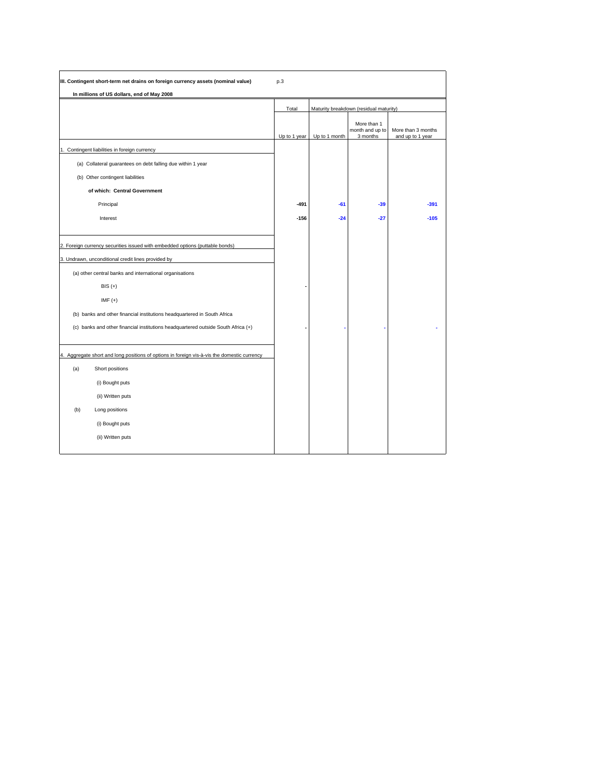| III. Contingent short-term net drains on foreign currency assets (nominal value)            | p.3          |               |                                            |                                        |
|---------------------------------------------------------------------------------------------|--------------|---------------|--------------------------------------------|----------------------------------------|
| In millions of US dollars, end of May 2008                                                  |              |               |                                            |                                        |
|                                                                                             | Total        |               | Maturity breakdown (residual maturity)     |                                        |
|                                                                                             | Up to 1 year | Up to 1 month | More than 1<br>month and up to<br>3 months | More than 3 months<br>and up to 1 year |
| 1. Contingent liabilities in foreign currency                                               |              |               |                                            |                                        |
| (a) Collateral guarantees on debt falling due within 1 year                                 |              |               |                                            |                                        |
| (b) Other contingent liabilities                                                            |              |               |                                            |                                        |
| of which: Central Government                                                                |              |               |                                            |                                        |
| Principal                                                                                   | -491         | $-61$         | $-39$                                      | $-391$                                 |
| Interest                                                                                    | $-156$       | $-24$         | $-27$                                      | $-105$                                 |
|                                                                                             |              |               |                                            |                                        |
| 2. Foreign currency securities issued with embedded options (puttable bonds)                |              |               |                                            |                                        |
| 3. Undrawn, unconditional credit lines provided by                                          |              |               |                                            |                                        |
| (a) other central banks and international organisations                                     |              |               |                                            |                                        |
| $BIS (+)$                                                                                   |              |               |                                            |                                        |
| $IMF (+)$                                                                                   |              |               |                                            |                                        |
| (b) banks and other financial institutions headquartered in South Africa                    |              |               |                                            |                                        |
| (c) banks and other financial institutions headquartered outside South Africa (+)           |              |               |                                            |                                        |
|                                                                                             |              |               |                                            |                                        |
| 4. Aggregate short and long positions of options in foreign vis-à-vis the domestic currency |              |               |                                            |                                        |
| Short positions<br>(a)                                                                      |              |               |                                            |                                        |
| (i) Bought puts                                                                             |              |               |                                            |                                        |
| (ii) Written puts                                                                           |              |               |                                            |                                        |
| (b)<br>Long positions                                                                       |              |               |                                            |                                        |
| (i) Bought puts                                                                             |              |               |                                            |                                        |
| (ii) Written puts                                                                           |              |               |                                            |                                        |
|                                                                                             |              |               |                                            |                                        |